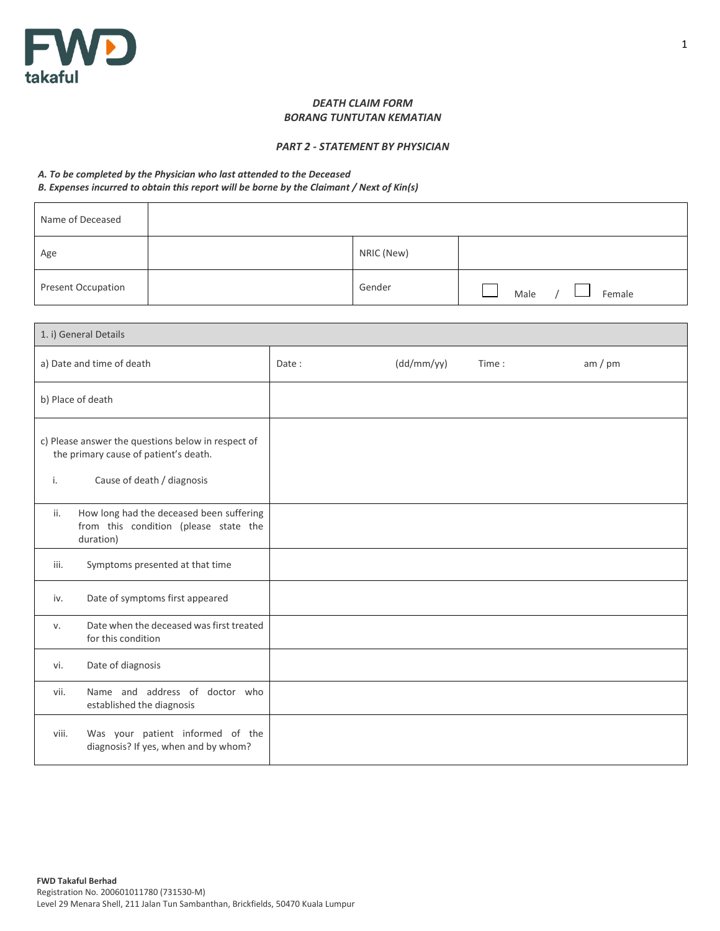

## *DEATH CLAIM FORM BORANG TUNTUTAN KEMATIAN*

## *PART 2 - STATEMENT BY PHYSICIAN*

## *A. To be completed by the Physician who last attended to the Deceased*

*B. Expenses incurred to obtain this report will be borne by the Claimant / Next of Kin(s)*

| Name of Deceased          |            |                |
|---------------------------|------------|----------------|
| Age                       | NRIC (New) |                |
| <b>Present Occupation</b> | Gender     | Male<br>Female |

|       | 1. i) General Details                                                                                                     |       |            |       |         |
|-------|---------------------------------------------------------------------------------------------------------------------------|-------|------------|-------|---------|
|       | a) Date and time of death                                                                                                 | Date: | (dd/mm/yy) | Time: | am / pm |
|       | b) Place of death                                                                                                         |       |            |       |         |
| i.    | c) Please answer the questions below in respect of<br>the primary cause of patient's death.<br>Cause of death / diagnosis |       |            |       |         |
| ii.   | How long had the deceased been suffering<br>from this condition (please state the<br>duration)                            |       |            |       |         |
| iii.  | Symptoms presented at that time                                                                                           |       |            |       |         |
| iv.   | Date of symptoms first appeared                                                                                           |       |            |       |         |
| v.    | Date when the deceased was first treated<br>for this condition                                                            |       |            |       |         |
| vi.   | Date of diagnosis                                                                                                         |       |            |       |         |
| vii.  | Name and address of doctor who<br>established the diagnosis                                                               |       |            |       |         |
| viii. | Was your patient informed of the<br>diagnosis? If yes, when and by whom?                                                  |       |            |       |         |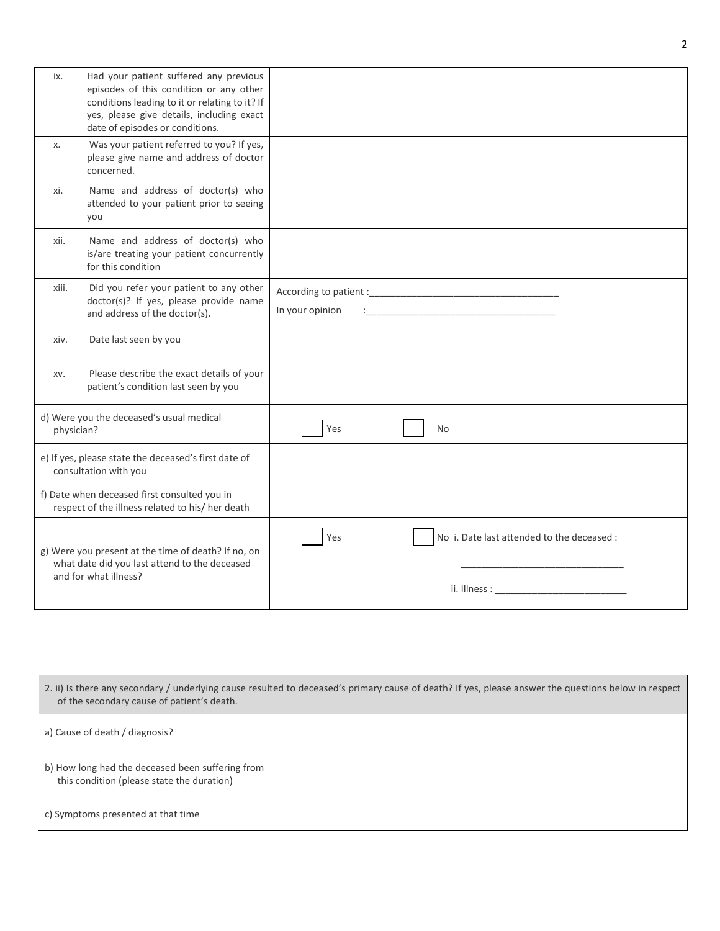| ix.        | Had your patient suffered any previous<br>episodes of this condition or any other<br>conditions leading to it or relating to it? If<br>yes, please give details, including exact<br>date of episodes or conditions. |                                                                                                                                                                                                                                                                                     |
|------------|---------------------------------------------------------------------------------------------------------------------------------------------------------------------------------------------------------------------|-------------------------------------------------------------------------------------------------------------------------------------------------------------------------------------------------------------------------------------------------------------------------------------|
| х.         | Was your patient referred to you? If yes,<br>please give name and address of doctor<br>concerned.                                                                                                                   |                                                                                                                                                                                                                                                                                     |
| xi.        | Name and address of doctor(s) who<br>attended to your patient prior to seeing<br>you                                                                                                                                |                                                                                                                                                                                                                                                                                     |
| xii.       | Name and address of doctor(s) who<br>is/are treating your patient concurrently<br>for this condition                                                                                                                |                                                                                                                                                                                                                                                                                     |
| xiii.      | Did you refer your patient to any other<br>doctor(s)? If yes, please provide name<br>and address of the doctor(s).                                                                                                  | In your opinion                                                                                                                                                                                                                                                                     |
| xiv.       | Date last seen by you                                                                                                                                                                                               |                                                                                                                                                                                                                                                                                     |
| XV.        | Please describe the exact details of your<br>patient's condition last seen by you                                                                                                                                   |                                                                                                                                                                                                                                                                                     |
| physician? | d) Were you the deceased's usual medical                                                                                                                                                                            | Yes<br><b>No</b>                                                                                                                                                                                                                                                                    |
|            | e) If yes, please state the deceased's first date of<br>consultation with you                                                                                                                                       |                                                                                                                                                                                                                                                                                     |
|            | f) Date when deceased first consulted you in<br>respect of the illness related to his/ her death                                                                                                                    |                                                                                                                                                                                                                                                                                     |
|            | g) Were you present at the time of death? If no, on<br>what date did you last attend to the deceased<br>and for what illness?                                                                                       | No i. Date last attended to the deceased :<br>Yes<br>ii. Illness: The Communication of the Communication of the Communication of the Communication of the Communication of the Communication of the Communication of the Communication of the Communication of the Communication of |

| 2. ii) Is there any secondary / underlying cause resulted to deceased's primary cause of death? If yes, please answer the questions below in respect<br>of the secondary cause of patient's death. |  |  |
|----------------------------------------------------------------------------------------------------------------------------------------------------------------------------------------------------|--|--|
| a) Cause of death / diagnosis?                                                                                                                                                                     |  |  |
| b) How long had the deceased been suffering from<br>this condition (please state the duration)                                                                                                     |  |  |
| c) Symptoms presented at that time                                                                                                                                                                 |  |  |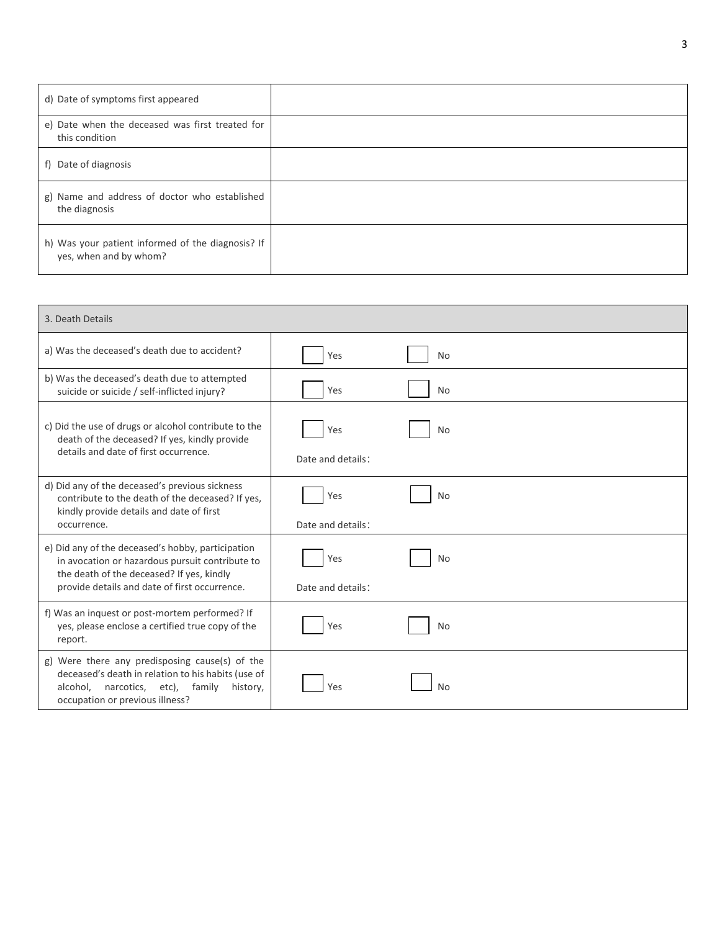| d) Date of symptoms first appeared                                          |  |
|-----------------------------------------------------------------------------|--|
| e) Date when the deceased was first treated for<br>this condition           |  |
| f) Date of diagnosis                                                        |  |
| g) Name and address of doctor who established<br>the diagnosis              |  |
| h) Was your patient informed of the diagnosis? If<br>yes, when and by whom? |  |

| 3. Death Details                                                                                                                                                                                   |                          |           |
|----------------------------------------------------------------------------------------------------------------------------------------------------------------------------------------------------|--------------------------|-----------|
| a) Was the deceased's death due to accident?                                                                                                                                                       | Yes                      | <b>No</b> |
| b) Was the deceased's death due to attempted<br>suicide or suicide / self-inflicted injury?                                                                                                        | Yes                      | <b>No</b> |
| c) Did the use of drugs or alcohol contribute to the<br>death of the deceased? If yes, kindly provide<br>details and date of first occurrence.                                                     | Yes<br>Date and details: | <b>No</b> |
| d) Did any of the deceased's previous sickness<br>contribute to the death of the deceased? If yes,<br>kindly provide details and date of first<br>occurrence.                                      | Yes<br>Date and details: | <b>No</b> |
| e) Did any of the deceased's hobby, participation<br>in avocation or hazardous pursuit contribute to<br>the death of the deceased? If yes, kindly<br>provide details and date of first occurrence. | Yes<br>Date and details: | <b>No</b> |
| f) Was an inquest or post-mortem performed? If<br>yes, please enclose a certified true copy of the<br>report.                                                                                      | Yes                      | <b>No</b> |
| g) Were there any predisposing cause(s) of the<br>deceased's death in relation to his habits (use of<br>narcotics, etc), family<br>alcohol,<br>history,<br>occupation or previous illness?         | Yes                      | <b>No</b> |